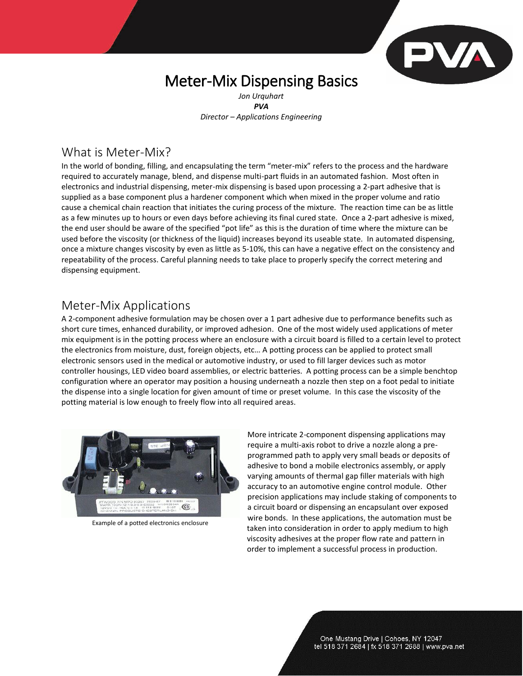# PVA

## Meter-Mix Dispensing Basics

*Jon Urquhart PVA Director – Applications Engineering*

## What is Meter-Mix?

In the world of bonding, filling, and encapsulating the term "meter-mix" refers to the process and the hardware required to accurately manage, blend, and dispense multi-part fluids in an automated fashion. Most often in electronics and industrial dispensing, meter-mix dispensing is based upon processing a 2-part adhesive that is supplied as a base component plus a hardener component which when mixed in the proper volume and ratio cause a chemical chain reaction that initiates the curing process of the mixture. The reaction time can be as little as a few minutes up to hours or even days before achieving its final cured state. Once a 2-part adhesive is mixed, the end user should be aware of the specified "pot life" as this is the duration of time where the mixture can be used before the viscosity (or thickness of the liquid) increases beyond its useable state. In automated dispensing, once a mixture changes viscosity by even as little as 5-10%, this can have a negative effect on the consistency and repeatability of the process. Careful planning needs to take place to properly specify the correct metering and dispensing equipment.

## Meter-Mix Applications

A 2-component adhesive formulation may be chosen over a 1 part adhesive due to performance benefits such as short cure times, enhanced durability, or improved adhesion. One of the most widely used applications of meter mix equipment is in the potting process where an enclosure with a circuit board is filled to a certain level to protect the electronics from moisture, dust, foreign objects, etc… A potting process can be applied to protect small electronic sensors used in the medical or automotive industry, or used to fill larger devices such as motor controller housings, LED video board assemblies, or electric batteries. A potting process can be a simple benchtop configuration where an operator may position a housing underneath a nozzle then step on a foot pedal to initiate the dispense into a single location for given amount of time or preset volume. In this case the viscosity of the potting material is low enough to freely flow into all required areas.



Example of a potted electronics enclosure

More intricate 2-component dispensing applications may require a multi-axis robot to drive a nozzle along a preprogrammed path to apply very small beads or deposits of adhesive to bond a mobile electronics assembly, or apply varying amounts of thermal gap filler materials with high accuracy to an automotive engine control module. Other precision applications may include staking of components to a circuit board or dispensing an encapsulant over exposed wire bonds. In these applications, the automation must be taken into consideration in order to apply medium to high viscosity adhesives at the proper flow rate and pattern in order to implement a successful process in production.

> One Mustang Drive | Cohoes, NY 12047 tel 518 371 2684 | fx 518 371 2688 | www.pva.net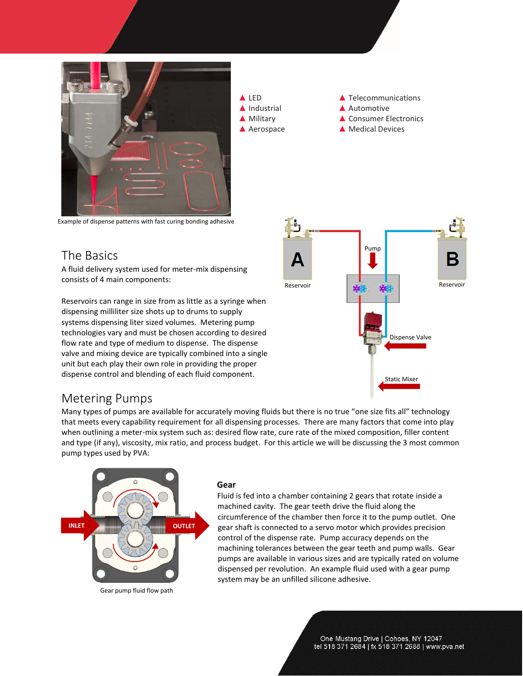

Example of dispense patterns with fast curing bonding adhesive

## The Basics

A fluid delivery system used for meter-mix dispensing consists of 4 main components:

Reservoirs can range in size from as little as a syringe when dispensing milliliter size shots up to drums to supply systems dispensing liter sized volumes. Metering pump technologies vary and must be chosen according to desired flow rate and type of medium to dispense. The dispense valve and mixing device are typically combined into a single unit but each play their own role in providing the proper dispense control and blending of each fluid component.



▲ LED **▲ Telecommunications** 

▲ Military **▲ Consumer Electronics** ▲ Aerospace △ Medical Devices

▲ Industrial **▲ Automotive** 

## Metering Pumps

Many types of pumps are available for accurately moving fluids but there is no true "one size fits all" technology that meets every capability requirement for all dispensing processes. There are many factors that come into play when outlining a meter-mix system such as: desired flow rate, cure rate of the mixed composition, filler content and type (if any), viscosity, mix ratio, and process budget. For this article we will be discussing the 3 most common pump types used by PVA:



Gear pump fluid flow path

#### **Gear**

Fluid is fed into a chamber containing 2 gears that rotate inside a machined cavity. The gear teeth drive the fluid along the circumference of the chamber then force it to the pump outlet. One gear shaft is connected to a servo motor which provides precision control of the dispense rate. Pump accuracy depends on the machining tolerances between the gear teeth and pump walls. Gear pumps are available in various sizes and are typically rated on volume dispensed per revolution. An example fluid used with a gear pump system may be an unfilled silicone adhesive.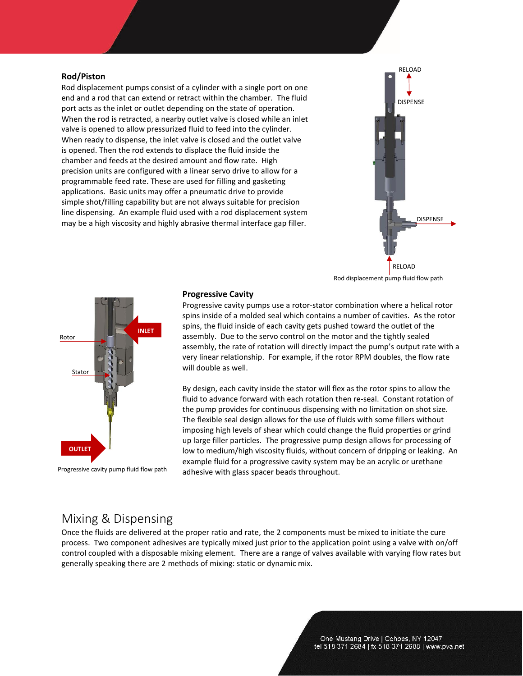#### **Rod/Piston**

Rod displacement pumps consist of a cylinder with a single port on one end and a rod that can extend or retract within the chamber. The fluid port acts as the inlet or outlet depending on the state of operation. When the rod is retracted, a nearby outlet valve is closed while an inlet valve is opened to allow pressurized fluid to feed into the cylinder. When ready to dispense, the inlet valve is closed and the outlet valve is opened. Then the rod extends to displace the fluid inside the chamber and feeds at the desired amount and flow rate. High precision units are configured with a linear servo drive to allow for a programmable feed rate. These are used for filling and gasketing applications. Basic units may offer a pneumatic drive to provide simple shot/filling capability but are not always suitable for precision line dispensing. An example fluid used with a rod displacement system may be a high viscosity and highly abrasive thermal interface gap filler.



Rod displacement pump fluid flow path



Progressive cavity pump fluid flow path

#### **Progressive Cavity**

Progressive cavity pumps use a rotor-stator combination where a helical rotor spins inside of a molded seal which contains a number of cavities. As the rotor spins, the fluid inside of each cavity gets pushed toward the outlet of the assembly. Due to the servo control on the motor and the tightly sealed assembly, the rate of rotation will directly impact the pump's output rate with a very linear relationship. For example, if the rotor RPM doubles, the flow rate will double as well.

By design, each cavity inside the stator will flex as the rotor spins to allow the fluid to advance forward with each rotation then re-seal. Constant rotation of the pump provides for continuous dispensing with no limitation on shot size. The flexible seal design allows for the use of fluids with some fillers without imposing high levels of shear which could change the fluid properties or grind up large filler particles. The progressive pump design allows for processing of low to medium/high viscosity fluids, without concern of dripping or leaking. An example fluid for a progressive cavity system may be an acrylic or urethane adhesive with glass spacer beads throughout.

## Mixing & Dispensing

Once the fluids are delivered at the proper ratio and rate, the 2 components must be mixed to initiate the cure process. Two component adhesives are typically mixed just prior to the application point using a valve with on/off control coupled with a disposable mixing element. There are a range of valves available with varying flow rates but generally speaking there are 2 methods of mixing: static or dynamic mix.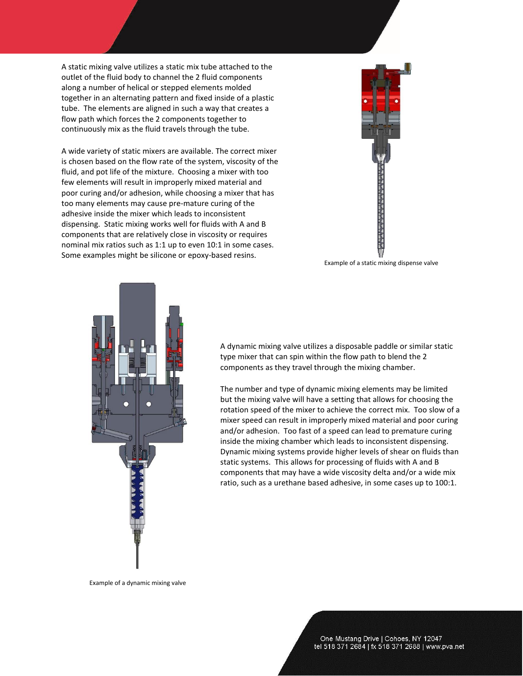A static mixing valve utilizes a static mix tube attached to the outlet of the fluid body to channel the 2 fluid components along a number of helical or stepped elements molded together in an alternating pattern and fixed inside of a plastic tube. The elements are aligned in such a way that creates a flow path which forces the 2 components together to continuously mix as the fluid travels through the tube.

A wide variety of static mixers are available. The correct mixer is chosen based on the flow rate of the system, viscosity of the fluid, and pot life of the mixture. Choosing a mixer with too few elements will result in improperly mixed material and poor curing and/or adhesion, while choosing a mixer that has too many elements may cause pre-mature curing of the adhesive inside the mixer which leads to inconsistent dispensing. Static mixing works well for fluids with A and B components that are relatively close in viscosity or requires nominal mix ratios such as 1:1 up to even 10:1 in some cases. Some examples might be silicone or epoxy-based resins.



Example of a static mixing dispense valve



A dynamic mixing valve utilizes a disposable paddle or similar static type mixer that can spin within the flow path to blend the 2 components as they travel through the mixing chamber.

The number and type of dynamic mixing elements may be limited but the mixing valve will have a setting that allows for choosing the rotation speed of the mixer to achieve the correct mix. Too slow of a mixer speed can result in improperly mixed material and poor curing and/or adhesion. Too fast of a speed can lead to premature curing inside the mixing chamber which leads to inconsistent dispensing. Dynamic mixing systems provide higher levels of shear on fluids than static systems. This allows for processing of fluids with A and B components that may have a wide viscosity delta and/or a wide mix ratio, such as a urethane based adhesive, in some cases up to 100:1.

Example of a dynamic mixing valve